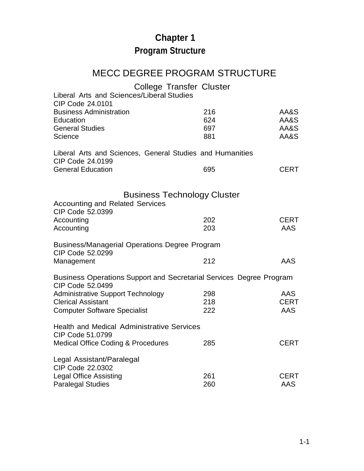## **Chapter 1 Program Structure**

## MECC DEGREE PROGRAM STRUCTURE

|                                                                     | <b>College Transfer Cluster</b> |             |
|---------------------------------------------------------------------|---------------------------------|-------------|
| Liberal Arts and Sciences/Liberal Studies                           |                                 |             |
| CIP Code 24,0101                                                    |                                 |             |
| <b>Business Administration</b>                                      | 216                             | AA&S        |
| Education                                                           | 624                             | AA&S        |
| <b>General Studies</b>                                              | 697                             | AA&S        |
| Science                                                             | 881                             | AA&S        |
| Liberal Arts and Sciences, General Studies and Humanities           |                                 |             |
| CIP Code 24.0199                                                    |                                 |             |
| <b>General Education</b>                                            | 695                             | <b>CERT</b> |
|                                                                     |                                 |             |
| <b>Business Technology Cluster</b>                                  |                                 |             |
| <b>Accounting and Related Services</b>                              |                                 |             |
| CIP Code 52.0399                                                    |                                 |             |
| Accounting                                                          | 202                             | <b>CERT</b> |
| Accounting                                                          | 203                             | <b>AAS</b>  |
|                                                                     |                                 |             |
| <b>Business/Managerial Operations Degree Program</b>                |                                 |             |
| CIP Code 52.0299                                                    |                                 |             |
| Management                                                          | 212                             | AAS         |
| Business Operations Support and Secretarial Services Degree Program |                                 |             |
| CIP Code 52.0499                                                    |                                 |             |
| <b>Administrative Support Technology</b>                            | 298                             | AAS         |
| <b>Clerical Assistant</b>                                           | 218                             | <b>CERT</b> |
| <b>Computer Software Specialist</b>                                 | 222                             | AAS         |
| <b>Health and Medical Administrative Services</b>                   |                                 |             |
| CIP Code 51.0799                                                    |                                 |             |
| <b>Medical Office Coding &amp; Procedures</b>                       | 285                             | <b>CERT</b> |
| Legal Assistant/Paralegal                                           |                                 |             |
| CIP Code 22.0302                                                    |                                 |             |
| <b>Legal Office Assisting</b>                                       | 261                             | <b>CERT</b> |
| <b>Paralegal Studies</b>                                            | 260                             | AAS         |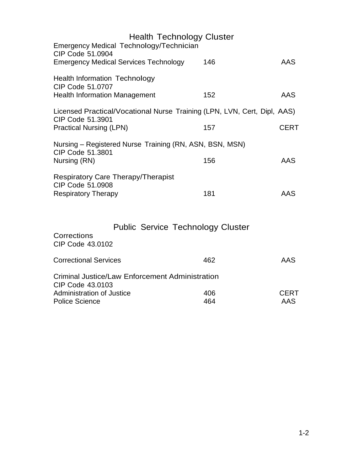| <b>Health Technology Cluster</b><br>Emergency Medical Technology/Technician                  |     |             |
|----------------------------------------------------------------------------------------------|-----|-------------|
| CIP Code 51.0904<br><b>Emergency Medical Services Technology</b>                             | 146 | <b>AAS</b>  |
| <b>Health Information Technology</b><br>CIP Code 51,0707                                     |     |             |
| <b>Health Information Management</b>                                                         | 152 | AAS         |
| Licensed Practical/Vocational Nurse Training (LPN, LVN, Cert, Dipl, AAS)<br>CIP Code 51.3901 |     |             |
| <b>Practical Nursing (LPN)</b>                                                               | 157 | <b>CERT</b> |
| Nursing – Registered Nurse Training (RN, ASN, BSN, MSN)<br>CIP Code 51,3801                  |     |             |
| Nursing (RN)                                                                                 | 156 | AAS         |
| <b>Respiratory Care Therapy/Therapist</b><br>CIP Code 51,0908                                |     |             |
| <b>Respiratory Therapy</b>                                                                   | 181 | AAS         |
|                                                                                              |     |             |
| <b>Public Service Technology Cluster</b>                                                     |     |             |
| Corrections<br>CIP Code 43.0102                                                              |     |             |
| <b>Correctional Services</b>                                                                 | 462 | <b>AAS</b>  |
| <b>Criminal Justice/Law Enforcement Administration</b><br>CIP Code 43,0103                   |     |             |
| <b>Administration of Justice</b>                                                             | 406 | CERT        |
| <b>Police Science</b>                                                                        | 464 | AAS         |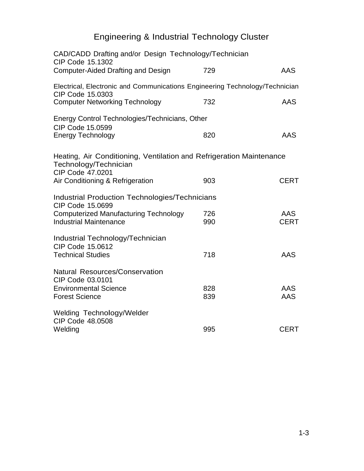## Engineering & Industrial Technology Cluster

| CAD/CADD Drafting and/or Design Technology/Technician<br>CIP Code 15.1302                                         |            |                           |
|-------------------------------------------------------------------------------------------------------------------|------------|---------------------------|
| Computer-Aided Drafting and Design                                                                                | 729        | AAS                       |
| Electrical, Electronic and Communications Engineering Technology/Technician<br>CIP Code 15.0303                   |            |                           |
| <b>Computer Networking Technology</b>                                                                             | 732        | AAS                       |
| Energy Control Technologies/Technicians, Other<br>CIP Code 15.0599                                                |            |                           |
| <b>Energy Technology</b>                                                                                          | 820        | AAS                       |
| Heating, Air Conditioning, Ventilation and Refrigeration Maintenance<br>Technology/Technician<br>CIP Code 47.0201 |            |                           |
| Air Conditioning & Refrigeration                                                                                  | 903        | <b>CERT</b>               |
| <b>Industrial Production Technologies/Technicians</b><br>CIP Code 15.0699                                         |            |                           |
| <b>Computerized Manufacturing Technology</b><br><b>Industrial Maintenance</b>                                     | 726<br>990 | <b>AAS</b><br><b>CERT</b> |
|                                                                                                                   |            |                           |
| Industrial Technology/Technician<br>CIP Code 15.0612                                                              |            |                           |
| <b>Technical Studies</b>                                                                                          | 718        | AAS                       |
| <b>Natural Resources/Conservation</b><br>CIP Code 03.0101                                                         |            |                           |
| <b>Environmental Science</b><br><b>Forest Science</b>                                                             | 828<br>839 | AAS<br>AAS                |
| Welding Technology/Welder<br>CIP Code 48.0508                                                                     |            |                           |
| Welding                                                                                                           | 995        | <b>CERT</b>               |